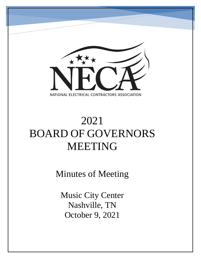

# 2021 BOARD OF GOVERNORS MEETING

Minutes of Meeting

Music City Center Nashville, TN October 9, 2021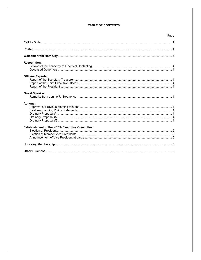# **TABLE OF CONTENTS**

| Page                                                  |  |
|-------------------------------------------------------|--|
|                                                       |  |
|                                                       |  |
|                                                       |  |
| <b>Recognition:</b>                                   |  |
| <b>Officers Reports:</b>                              |  |
| <b>Guest Speaker:</b>                                 |  |
| <b>Actions:</b>                                       |  |
| <b>Establishment of the NECA Executive Committee:</b> |  |
|                                                       |  |
|                                                       |  |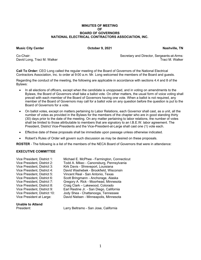# **MINUTES OF MEETING Solution Contract Contract Contract Contract Contract Contract Contract Contract Contract Contract Contract Contract Contract Contract Contract Contract Contract Contract Contract Contract Contract Contract Contract Contr BOARD OF GOVERNORS NATIONAL ELECTRICAL CONTRACTORS ASSOCIATION, INC.**

# **Music City Center Contract City Center Contract City Center Contract City Center Contract City Center Contract Contract Contract Contract Contract Contract Contract Contract Contract Contract Contract Contract Contract Co**

David Long, Traci M. Walker

Co-Chair: Secretary and Director, Sergeants-at-Arms:

**Call To Order:** CEO Long called the regular meeting of the Board of Governors of the National Electrical Contractors Association, Inc. to order at 9:00 a.m. Mr. Long welcomed the members of the Board and guests.

Regarding the conduct of the meeting, the following are applicable in accordance with sections 4.4 and 8 of the Bylaws:

- In all elections of officers, except when the candidate is unopposed, and in voting on amendments to the Bylaws, the Board of Governors shall take a ballot vote. On other matters, the usual form of voice voting shall prevail with each member of the Board of Governors having one vote. When a ballot is not required, any member of the Board of Governors may call for a ballot vote on any question before the question is put to the Board of Governors for a vote.
- On ballot votes, except on matters pertaining to Labor Relations, each Governor shall cast, as a unit, all the number of votes as provided in the Bylaws for the members of the chapter who are in good standing thirty (30) days prior to the date of the meeting. On any matter pertaining to labor relations, the number of votes shall be limited to those attributable to members that are signatory to an I.B.E.W. labor agreement. The President, District Vice-Presidents and the Vice-President-at-Large shall cast one (1) vote each.
- Effective date of these proposals shall be immediate upon passage unless otherwise indicated.
- Robert's Rules of Order will govern such discussion as may be desired on these proposals.

**ROSTER** - The following is a list of the members of the NECA Board of Governors that were in attendance:

# **EXECUTIVE COMMITTEE**

| Vice President, District 1:  | Michael E. McPhee - Farmington, Connecticut |
|------------------------------|---------------------------------------------|
| Vice President, District 2:  | Todd A. Mikec - Canonsburg, Pennsylvania    |
| Vice President, District 3:  | Kirk Davis - Shreveport, Louisiana          |
| Vice President, District 4:  | David Washebek - Brookfield, Wisconsin      |
| Vice President, District 5:  | Vincent Real - San Antonio, Texas           |
| Vice President, District 6:  | Scott Bringmann - Anchorage, Alaska         |
| Vice President, District 7:  | Gregory A. Rick - Moorhead, Minnesota       |
| Vice President, District 8:  | Craig Clark - Lakewood, Colorado            |
| Vice President, District 9:  | Earl Restine Jr. - San Diego, California    |
| Vice President, District 10: | Jody Shea - Chattanooga, Tennessee          |
| Vice President at Large:     | David Nielsen - Minneapolis, Minnesota      |
|                              |                                             |

# **Unable to Attend**

President: Larry Beltramo - San Jose, California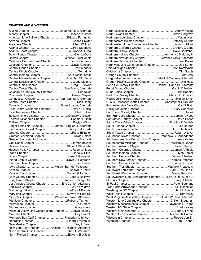# **CHAPTER AND GOVERNOR**

| American Line Builders Chapter  Edward Farrington        |  |
|----------------------------------------------------------|--|
|                                                          |  |
|                                                          |  |
|                                                          |  |
| Atlantic Coast Chapter  W. Robert O'Neal                 |  |
|                                                          |  |
|                                                          |  |
| California Central Coast Chapter  Louis J Angelos        |  |
|                                                          |  |
|                                                          |  |
|                                                          |  |
| Central Indiana Chapter Sara Dinkel Smith                |  |
| Central Massachusetts Chapter Joseph F St. Pierre        |  |
| Central Mississippi Chapter  Glade McInnis               |  |
|                                                          |  |
| Central Texas Chapter  Ben Frank, Alternate              |  |
| Chicago & Cook County Chapter  Eric Nixon                |  |
|                                                          |  |
| Connecticut Chapter Tom Adamson, Alternate               |  |
|                                                          |  |
|                                                          |  |
| Dakotas Chapter  Brian Spader, Alternate                 |  |
| East Central California Chapter  David J Helsel          |  |
|                                                          |  |
| Eastern Illinois Chapter Gregory L Outsen                |  |
| Eastern Oklahoma Chapter Boomer L Holtz                  |  |
|                                                          |  |
| Finger Lakes NY Chapter James A Engler Jr, Alternate     |  |
| Florida West Coast Chapter  Andy DeLaParte               |  |
|                                                          |  |
|                                                          |  |
|                                                          |  |
|                                                          |  |
|                                                          |  |
|                                                          |  |
|                                                          |  |
|                                                          |  |
|                                                          |  |
|                                                          |  |
|                                                          |  |
|                                                          |  |
|                                                          |  |
|                                                          |  |
|                                                          |  |
|                                                          |  |
| Long Island Chapter James T Giorgio Sr                   |  |
| Los Angeles County Chapter  Eric Cartier, Alternate      |  |
|                                                          |  |
| Mahoning Valley Chapter Jeffrey T Barber                 |  |
|                                                          |  |
| Memphis Chapter  Wayne A Lowrie, Alternate               |  |
|                                                          |  |
|                                                          |  |
|                                                          |  |
| Missouri Valley Line Constructors Chapter  Steve Lindley |  |
|                                                          |  |
| Monterey Bay Calif Chapter Frederick A Jensen            |  |
|                                                          |  |
|                                                          |  |
| New York City Chapter  Kristine H DeNapoli, Alternate    |  |
| North Central Ohio Chapter Robert E Wickham              |  |

| Northeastern Illinois Chapter  Anthony Mulizio               |  |
|--------------------------------------------------------------|--|
| Northeastern Line Constructors Chapter James C Atkins        |  |
| Northern California Chapter  Gregory D Long                  |  |
|                                                              |  |
| Northern Indiana Chapter  Anthony J Maloney III              |  |
| Northern New Jersey Chapter  Terrence Craig, Alternate       |  |
|                                                              |  |
| Northwest Line Constructors Chapter  Joe Sutton              |  |
|                                                              |  |
|                                                              |  |
|                                                              |  |
|                                                              |  |
|                                                              |  |
|                                                              |  |
| Penn-Del-Jersey Chapter  Daniel J Hahn Sr, Alternate         |  |
|                                                              |  |
|                                                              |  |
| Red River Valley Chapter  Marvin L Groves II                 |  |
|                                                              |  |
| RI & SE Massachusetts Chapter  Christopher O'Rourke          |  |
|                                                              |  |
|                                                              |  |
|                                                              |  |
|                                                              |  |
|                                                              |  |
| Santa Clara Valley Chapter  Timothy P Daniels                |  |
|                                                              |  |
|                                                              |  |
|                                                              |  |
|                                                              |  |
|                                                              |  |
| Southeast Texas Chapter  Matthew B Cappadonna                |  |
| Southeastern Line Constructors Chapter  Jesse Colley         |  |
| Southeastern Michigan Chapter  William M Darish              |  |
|                                                              |  |
| Southern Colorado Chapter James A Thiele                     |  |
|                                                              |  |
|                                                              |  |
| Southern New Jersey Chapter  Thomas Peterson                 |  |
|                                                              |  |
|                                                              |  |
|                                                              |  |
| Southwest Louisiana Chapter  Earl C O'Quinn III              |  |
| Southwest Washington Chapter  Mardy Betschart                |  |
| Southwestern Line Constructors Chapter Earl 'Duke' Austin Jr |  |
|                                                              |  |
|                                                              |  |
| Twin Ports-Arrowhead Chapter  Rick Osbakken                  |  |
|                                                              |  |
|                                                              |  |
| West Virginia-Ohio Valley Chapter  Dustin W Flinn, Alternate |  |
| Western Line Constructors Chapter D. Kent Maughan            |  |
| Western Massachusetts Chapter  Lawrence F Eagan              |  |
|                                                              |  |
|                                                              |  |
| Western Pennsylvania Chapter  Michael R Hanlon               |  |
|                                                              |  |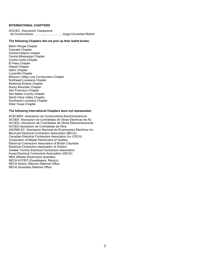# **INTERNATIONAL CHAPTERS**

AOCIEC -Asociacion Oaxaquena de Constructores ................................... Angel Cervantes Madrid

#### **The following Chapters did not pick up their ballot books:**

Baton Rouge Chapter Cascade Chapter Central Indiana Chapter Central Mississippi Chapter Contra Costa Chapter El Paso Chapter Hawaii Chapter Idaho Chapter Louisville Chapter Missouri Valley Line Constructors Chapter Northeast Louisiana Chapter Redwood Empire Chapter Rocky Mountain Chapter San Francisco Chapter San Mateo County Chapter Santa Clara Valley Chapter Southwest Louisiana Chapter West Texas Chapter

#### **The following International Chapters were not represented:**

ACECMEX -Asociacion de Constructores Electromecánicos ACOEA -Asociacion de Contratistas de Obras Electricas de AC ACOEQ -Asociacion de Contratistas de Obras Electromecanicas ACOEZ-Asociacion de Contratistas de Obra ASONELEC -Asociacion Nacional de Empresarios Electricos Inc Bermuda Electrical Contractors Association (BECA) Canadian Electrical Contractors Association Inc (CECA) Corporation of Master Electricians of Quebec Electrical Contractors Association of British Columbia Electrical Contractors Association of Ontario Greater Toronto Electrical Contractors Association Korea Electrical Contractors Association (KECA) MEA (Master Electricians Australia) NECA ACOEO (Guadalajara, Mexico) NECA Americ (Mexico) National Office NECA (Australia) National Office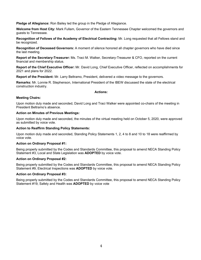**Pledge of Allegiance:** Ron Bailey led the group in the Pledge of Allegiance.

**Welcome from Host City:** Mark Fullam, Governor of the Eastern Tennessee Chapter welcomed the governors and guests to Tennessee.

**Recognition of Fellows of the Academy of Electrical Contracting:** Mr. Long requested that all Fellows stand and be recognized.

**Recognition of Deceased Governors:** A moment of silence honored all chapter governors who have died since the last meeting.

**Report of the Secretary-Treasurer:** Ms. Traci M. Walker, Secretary-Treasurer & CFO, reported on the current financial and membership status.

**Report of the Chief Executive Officer:** Mr. David Long, Chief Executive Officer, reflected on accomplishments for 2021 and plans for 2022.

**Report of the President:** Mr. Larry Beltramo, President, delivered a video message to the governors.

**Remarks:** Mr. Lonnie R. Stephenson, International President of the IBEW discussed the state of the electrical construction industry.

# **Actions:**

# **Meeting Chairs:**

Upon motion duly made and seconded, David Long and Traci Walker were appointed co-chairs of the meeting in President Beltramo's absence.

#### **Action on Minutes of Previous Meetings:**

Upon motion duly made and seconded, the minutes of the virtual meeting held on October 5, 2020, were approved as submitted by voice vote.

#### **Action to Reaffirm Standing Policy Statements:**

Upon motion duly made and seconded, Standing Policy Statements 1, 2, 4 to 8 and 10 to 18 were reaffirmed by voice vote.

# **Action on Ordinary Proposal #1:**

Being properly submitted by the Codes and Standards Committee, this proposal to amend NECA Standing Policy Statement #3, Local and State Legislation was **ADOPTED** by voice vote.

# **Action on Ordinary Proposal #2:**

Being properly submitted by the Codes and Standards Committee, this proposal to amend NECA Standing Policy Statement #9, Electrical Inspections was **ADOPTED** by voice vote.

# **Action on Ordinary Proposal #3:**

Being properly submitted by the Codes and Standards Committee, this proposal to amend NECA Standing Policy Statement #19, Safety and Health was **ADOPTED** by voice vote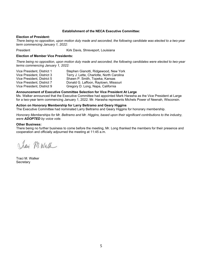# **Establishment of the NECA Executive Committee:**

#### **Election of President:**

*There being no opposition, upon motion duly made and seconded, the following candidate was elected to a two-year term commencing January 1, 2022:*

President Kirk Davis, Shreveport, Louisiana

# **Election of Member Vice Presidents:**

*There being no opposition, upon motion duly made and seconded, the following candidates were elected to two-year terms commencing January 1, 2022:*

| Vice President, District 1 | Stephen Gianotti, Ridgewood, New York     |
|----------------------------|-------------------------------------------|
| Vice President, District 3 | Terry J. Lette, Charlotte, North Carolina |
| Vice President, District 5 | Shawn P. Smith, Topeka, Kansas            |
| Vice President, District 7 | Donald G. Laffoon, Raytown, Missouri      |
| Vice President, District 9 | Gregory D. Long, Napa, California         |

# **Announcement of Executive Committee Selection for Vice President At Large**

Ms. Walker announced that the Executive Committee had appointed Mark Harasha as the Vice President at Large for a two-year term commencing January 1, 2022. Mr. Harasha represents Michels Power of Neenah, Wisconsin.

# **Action on Honorary Membership for Larry Beltramo and Geary Higgins**

The Executive Committee had nominated Larry Beltramo and Geary Higgins for honorary membership.

*Honorary Memberships for Mr. Beltramo and Mr. Higgins, based upon their significant contributions to the industry, were ADOPTED by voice vote.* 

#### **Other Business:**

There being no further business to come before the meeting, Mr. Long thanked the members for their presence and cooperation and officially adjourned the meeting at 11:45 a.m.

Jay M. Walk

Traci M. Walker **Secretary**